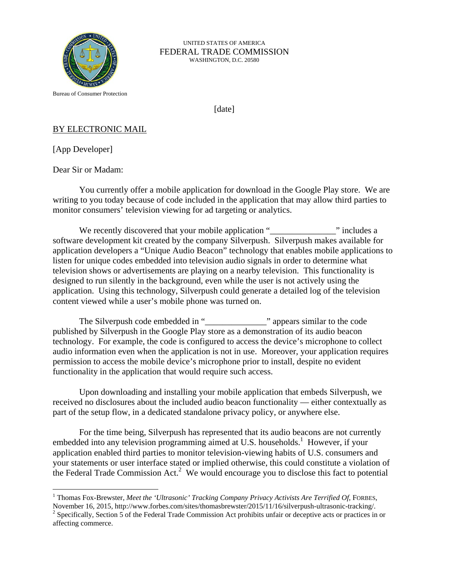

## UNITED STATES OF AMERICA FEDERAL TRADE COMMISSION WASHINGTON, D.C. 20580

Bureau of Consumer Protection

[date]

## BY ELECTRONIC MAIL

[App Developer]

<u>.</u>

Dear Sir or Madam:

 You currently offer a mobile application for download in the Google Play store. We are writing to you today because of code included in the application that may allow third parties to monitor consumers' television viewing for ad targeting or analytics.

We recently discovered that your mobile application "\_\_\_\_\_\_\_\_\_\_\_\_\_\_\_\_\_\_\_\_\_\_\_\_\_\_\_ " includes a software development kit created by the company Silverpush. Silverpush makes available for application developers a "Unique Audio Beacon" technology that enables mobile applications to listen for unique codes embedded into television audio signals in order to determine what television shows or advertisements are playing on a nearby television. This functionality is designed to run silently in the background, even while the user is not actively using the application. Using this technology, Silverpush could generate a detailed log of the television content viewed while a user's mobile phone was turned on.

The Silverpush code embedded in "\_\_\_\_\_\_\_\_\_\_\_\_\_\_\_\_\_\_\_\_" appears similar to the code published by Silverpush in the Google Play store as a demonstration of its audio beacon technology. For example, the code is configured to access the device's microphone to collect audio information even when the application is not in use. Moreover, your application requires permission to access the mobile device's microphone prior to install, despite no evident functionality in the application that would require such access.

 Upon downloading and installing your mobile application that embeds Silverpush, we received no disclosures about the included audio beacon functionality — either contextually as part of the setup flow, in a dedicated standalone privacy policy, or anywhere else.

 For the time being, Silverpush has represented that its audio beacons are not currently embedded into any television programming aimed at U.S. households.<sup>1</sup> However, if your application enabled third parties to monitor television-viewing habits of U.S. consumers and your statements or user interface stated or implied otherwise, this could constitute a violation of the Federal Trade Commission Act.<sup>2</sup> We would encourage you to disclose this fact to potential

<sup>2</sup> Specifically, Section 5 of the Federal Trade Commission Act prohibits unfair or deceptive acts or practices in or affecting commerce.

<sup>&</sup>lt;sup>1</sup> Thomas Fox-Brewster, *Meet the 'Ultrasonic' Tracking Company Privacy Activists Are Terrified Of*, FORBES,

November 16, 2015, http://www.forbes.com/sites/thomasbrewster/2015/11/16/silverpush-ultrasonic-tracking/. 2